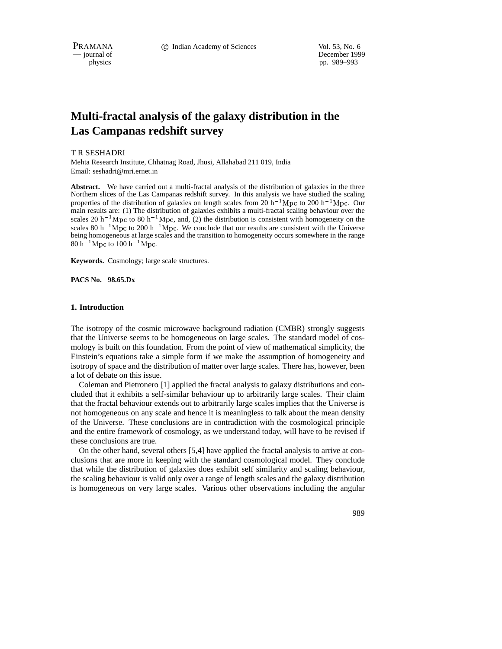PRAMANA **C** Indian Academy of Sciences Vol. 53, No. 6

— journal of December 1999 physics pp. 989–993

# **Multi-fractal analysis of the galaxy distribution in the Las Campanas redshift survey**

T R SESHADRI

Mehta Research Institute, Chhatnag Road, Jhusi, Allahabad 211 019, India Email: seshadri@mri.ernet.in

**Abstract.** We have carried out a multi-fractal analysis of the distribution of galaxies in the three Northern slices of the Las Campanas redshift survey. In this analysis we have studied the scaling properties of the distribution of galaxies on length scales from 20  $h^{-1}$ Mpc to 200  $h^{-1}$ Mpc. Our main results are: (1) The distribution of galaxies exhibits a multi-fractal scaling behaviour over the scales 20 h<sup>-1</sup>Mpc to 80 h<sup>-1</sup>Mpc, and, (2) the distribution is consistent with homogeneity on the scales 80 h<sup>-1</sup>Mpc to 200 h<sup>-1</sup>Mpc. We conclude that our results are consistent with the Universe being homogeneous at large scales and the transition to homogeneity occurs somewhere in the range  $80 h^{-1}$  Mpc to  $100 h^{-1}$  Mpc.

**Keywords.** Cosmology; large scale structures.

**PACS No. 98.65.Dx**

## **1. Introduction**

The isotropy of the cosmic microwave background radiation (CMBR) strongly suggests that the Universe seems to be homogeneous on large scales. The standard model of cosmology is built on this foundation. From the point of view of mathematical simplicity, the Einstein's equations take a simple form if we make the assumption of homogeneity and isotropy of space and the distribution of matter over large scales. There has, however, been a lot of debate on this issue.

Coleman and Pietronero [1] applied the fractal analysis to galaxy distributions and concluded that it exhibits a self-similar behaviour up to arbitrarily large scales. Their claim that the fractal behaviour extends out to arbitrarily large scales implies that the Universe is not homogeneous on any scale and hence it is meaningless to talk about the mean density of the Universe. These conclusions are in contradiction with the cosmological principle and the entire framework of cosmology, as we understand today, will have to be revised if these conclusions are true.

On the other hand, several others [5,4] have applied the fractal analysis to arrive at conclusions that are more in keeping with the standard cosmological model. They conclude that while the distribution of galaxies does exhibit self similarity and scaling behaviour, the scaling behaviour is valid only over a range of length scales and the galaxy distribution is homogeneous on very large scales. Various other observations including the angular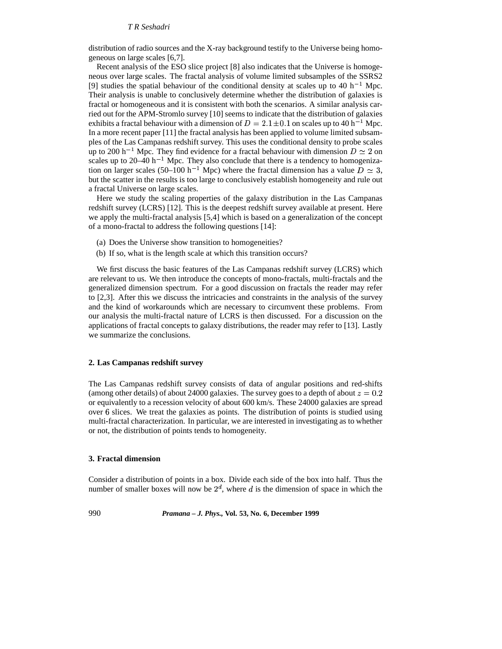## *T R Seshadri*

distribution of radio sources and the X-ray background testify to the Universe being homogeneous on large scales [6,7].

Recent analysis of the ESO slice project [8] also indicates that the Universe is homogeneous over large scales. The fractal analysis of volume limited subsamples of the SSRS2 [9] studies the spatial behaviour of the conditional density at scales up to 40 h<sup>-1</sup> Mpc. Their analysis is unable to conclusively determine whether the distribution of galaxies is fractal or homogeneous and it is consistent with both the scenarios. A similar analysis carried out for the APM-Stromlo survey [10] seems to indicate that the distribution of galaxies exhibits a fractal behaviour with a dimension of  $D = 2.1 \pm 0.1$  on scales up to 40 h<sup>-1</sup> Mpc. In a more recent paper [11] the fractal analysis has been applied to volume limited subsamples of the Las Campanas redshift survey. This uses the conditional density to probe scales up to 200 h<sup>-1</sup> Mpc. They find evidence for a fractal behaviour with dimension  $D \simeq 2$  on scales up to  $20-40$  h<sup>-1</sup> Mpc. They also conclude that there is a tendency to homogenization on larger scales (50–100 h<sup>-1</sup> Mpc) where the fractal dimension has a value  $D \simeq 3$ , but the scatter in the results is too large to conclusively establish homogeneity and rule out a fractal Universe on large scales.

Here we study the scaling properties of the galaxy distribution in the Las Campanas redshift survey (LCRS) [12]. This is the deepest redshift survey available at present. Here we apply the multi-fractal analysis [5,4] which is based on a generalization of the concept of a mono-fractal to address the following questions [14]:

- (a) Does the Universe show transition to homogeneities?
- (b) If so, what is the length scale at which this transition occurs?

We first discuss the basic features of the Las Campanas redshift survey (LCRS) which are relevant to us. We then introduce the concepts of mono-fractals, multi-fractals and the generalized dimension spectrum. For a good discussion on fractals the reader may refer to [2,3]. After this we discuss the intricacies and constraints in the analysis of the survey and the kind of workarounds which are necessary to circumvent these problems. From our analysis the multi-fractal nature of LCRS is then discussed. For a discussion on the applications of fractal concepts to galaxy distributions, the reader may refer to [13]. Lastly we summarize the conclusions.

#### **2. Las Campanas redshift survey**

The Las Campanas redshift survey consists of data of angular positions and red-shifts (among other details) of about 24000 galaxies. The survey goes to a depth of about  $z = 0.2$ or equivalently to a recession velocity of about 600 km/s. These 24000 galaxies are spread over & slices. We treat the galaxies as points. The distribution of points is studied using multi-fractal characterization. In particular, we are interested in investigating as to whether or not, the distribution of points tends to homogeneity.

# **3. Fractal dimension**

Consider a distribution of points in a box. Divide each side of the box into half. Thus the number of smaller boxes will now be  $2^d$ , where d is the dimension of space in which the

990 *Pramana – J. Phys.,* **Vol. 53, No. 6, December 1999**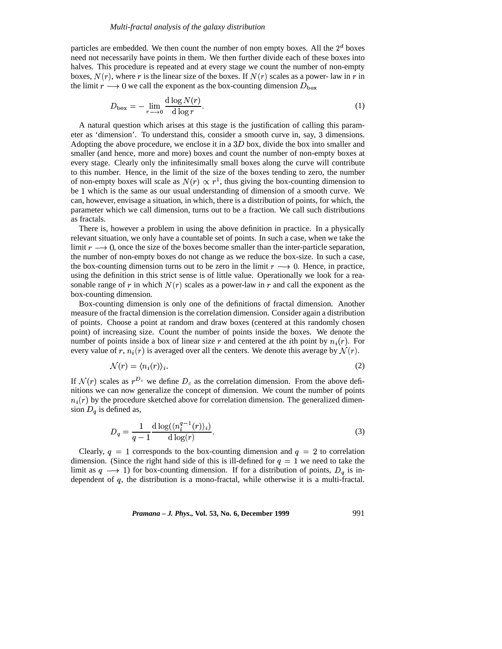particles are embedded. We then count the number of non empty boxes. All the  $2<sup>d</sup>$  boxes need not necessarily have points in them. We then further divide each of these boxes into halves. This procedure is repeated and at every stage we count the number of non-empty boxes,  $N(r)$ , where r is the linear size of the boxes. If  $N(r)$  scales as a power-law in r in the limit  $r \rightarrow 0$  we call the exponent as the box-counting dimension  $D_{\text{box}}$ 

$$
D_{\text{box}} = -\lim_{r \to 0} \frac{\text{d}\log N(r)}{\text{d}\log r}.
$$
 (1)

A natural question which arises at this stage is the justification of calling this parameter as 'dimension'. To understand this, consider a smooth curve in, say, 3 dimensions. Adopting the above procedure, we enclose it in a  $3D$  box, divide the box into smaller and smaller (and hence, more and more) boxes and count the number of non-empty boxes at every stage. Clearly only the infinitesimally small boxes along the curve will contribute to this number. Hence, in the limit of the size of the boxes tending to zero, the number of non-empty boxes will scale as  $N(r) \propto r^1$ , thus giving the box-counting dimension to be 1 which is the same as our usual understanding of dimension of a smooth curve. We can, however, envisage a situation, in which, there is a distribution of points, for which, the parameter which we call dimension, turns out to be a fraction. We call such distributions as fractals.

There is, however a problem in using the above definition in practice. In a physically relevant situation, we only have a countable set of points. In such a case, when we take the limit  $r \rightarrow 0$ , once the size of the boxes become smaller than the inter-particle separation, the number of non-empty boxes do not change as we reduce the box-size. In such a case, the box-counting dimension turns out to be zero in the limit  $r \rightarrow 0$ . Hence, in practice, using the definition in this strict sense is of little value. Operationally we look for a reasonable range of r in which  $N(r)$  scales as a power-law in r and call the exponent as the box-counting dimension.

Box-counting dimension is only one of the definitions of fractal dimension. Another measure of the fractal dimension isthe correlation dimension. Consider again a distribution of points. Choose a point at random and draw boxes (centered at this randomly chosen point) of increasing size. Count the number of points inside the boxes. We denote the number of points inside a box of linear size r and centered at the *i*th point by  $n_i(r)$ . For every value of r,  $n_i(r)$  is averaged over all the centers. We denote this average by  $\mathcal{N}(r)$ .

$$
\mathcal{N}(r) = \langle n_i(r) \rangle_i. \tag{2}
$$

If  $\mathcal{N}(r)$  scales as  $r^{D_c}$  we define  $D_c$  as the correlation dimension. From the above definitions we can now generalize the concept of dimension. We count the number of points  $n_i(r)$  by the procedure sketched above for correlation dimension. The generalized dimension  $D_q$  is defined as,

$$
D_q = \frac{1}{q-1} \frac{\mathrm{d}\log((n_i^{q-1}(r))_i)}{\mathrm{d}\log(r)}.\tag{3}
$$

Clearly,  $q = 1$  corresponds to the box-counting dimension and  $q = 2$  to correlation dimension. (Since the right hand side of this is ill-defined for  $q = 1$  we need to take the limit as  $q \longrightarrow 1$ ) for box-counting dimension. If for a distribution of points,  $D_q$  is independent of  $q$ , the distribution is a mono-fractal, while otherwise it is a multi-fractal.

*Pramana – J. Phys.,* **Vol. 53, No. 6, December 1999** 991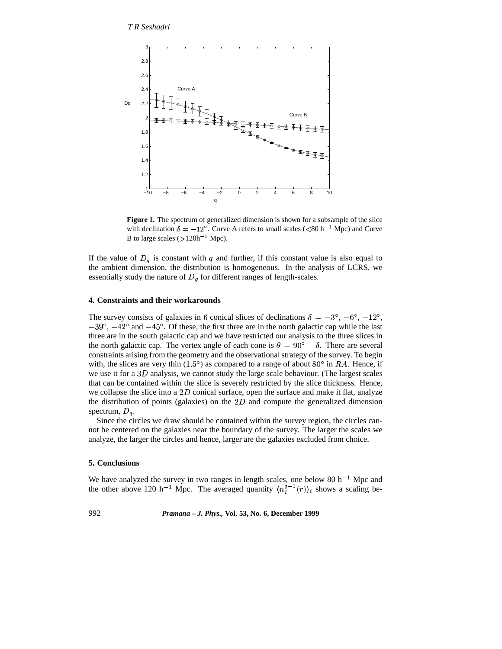*T R Seshadri*



**Figure 1.** The spectrum of generalized dimension is shown for a subsample of the slice with declination  $\delta = -12^{\circ}$ . Curve A refers to small scales ( $\langle 80 \text{ h}^{-1} \text{ Mpc} \rangle$  and Curve B to large scales  $(>120h^{-1}$  Mpc).

If the value of  $D_q$  is constant with q and further, if this constant value is also equal to the ambient dimension, the distribution is homogeneous. In the analysis of LCRS, we essentially study the nature of  $D_q$  for different ranges of length-scales.

## **4. Constraints and their workarounds**

The survey consists of galaxies in 6 conical slices of declinations  $\delta = -3^{\circ}$ ,  $-6^{\circ}$ ,  $-12^{\circ}$ ,  $-39^{\circ}$ ,  $-42^{\circ}$  and  $-45^{\circ}$ . Of these, the first three are in the north galactic cap while the last three are in the south galactic cap and we have restricted our analysis to the three slices in the north galactic cap. The vertex angle of each cone is  $\theta = 90^{\circ} - \delta$ . There are several constraints arising from the geometry and the observational strategy of the survey. To begin with, the slices are very thin (1.5°) as compared to a range of about 80° in  $RA$ . Hence, if we use it for a  $3D$  analysis, we cannot study the large scale behaviour. (The largest scales that can be contained within the slice is severely restricted by the slice thickness. Hence, we collapse the slice into a 2D conical surface, open the surface and make it flat, analyze the distribution of points (galaxies) on the  $2D$  and compute the generalized dimension spectrum,  $D_q$ .

Since the circles we draw should be contained within the survey region, the circles cannot be centered on the galaxies near the boundary of the survey. The larger the scales we analyze, the larger the circles and hence, larger are the galaxies excluded from choice.

## **5. Conclusions**

We have analyzed the survey in two ranges in length scales, one below 80  $h^{-1}$  Mpc and the other above 120 h<sup>-1</sup> Mpc. The averaged quantity  $\langle n_i^{q-1}(r) \rangle_i$  shows a scaling be-

992 *Pramana – J. Phys.,* **Vol. 53, No. 6, December 1999**